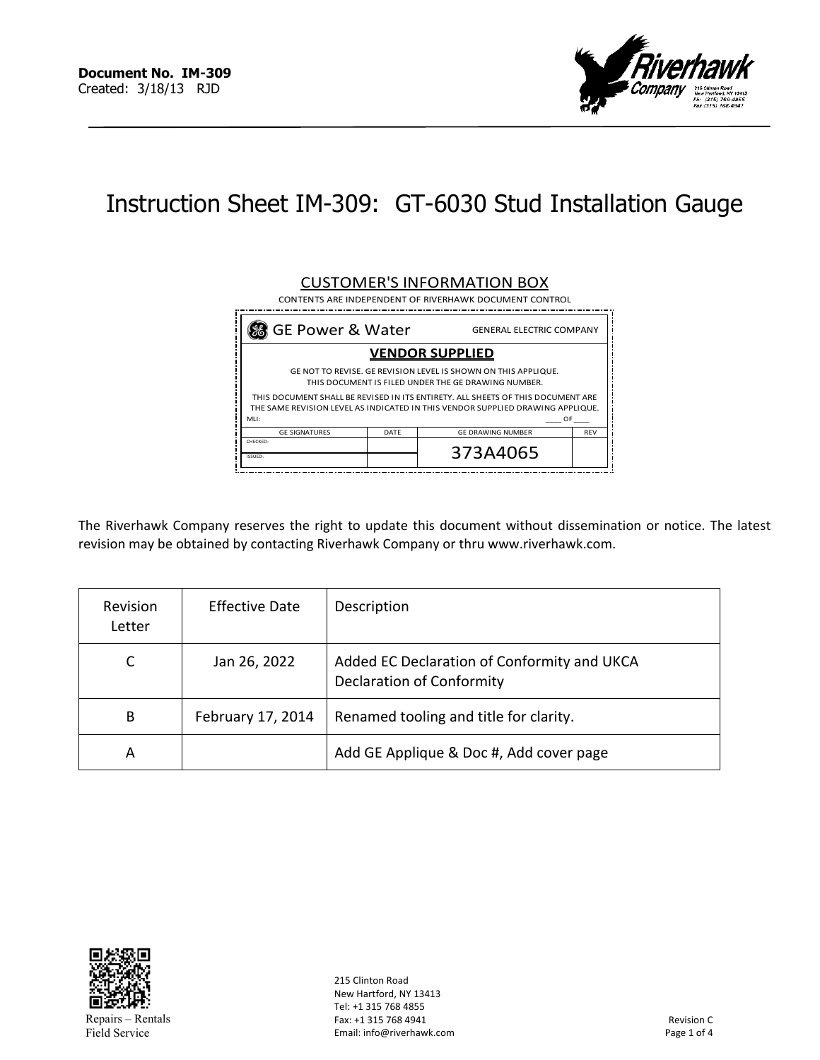

# Instruction Sheet IM-309: GT-6030 Stud Installation Gauge

#### GE Power & Water GENERAL ELECTRIC COMPANY MLI: \_\_\_\_ OF \_\_\_\_ DATE CUSTOMER'S INFORMATION BOX CONTENTS ARE INDEPENDENT OF RIVERHAWK DOCUMENT CONTROL ISSUED: THIS DOCUMENT SHALL BE REVISED IN ITS ENTIRETY. ALL SHEETS OF THIS DOCUMENT ARE THE SAME REVISION LEVEL AS INDICATED IN THIS VENDOR SUPPLIED DRAWING APPLIQUE. REV 373A4065 GE DRAWING NUMBER **VENDOR SUPPLIED** THIS DOCUMENT IS FILED UNDER THE GE DRAWING NUMBER. GE NOT TO REVISE. GE REVISION LEVEL IS SHOWN ON THIS APPLIQUE. GE SIGNATURES CHECKED:

The Riverhawk Company reserves the right to update this document without dissemination or notice. The latest revision may be obtained by contacting Riverhawk Company or thru www.riverhawk.com.

| Revision<br>Letter | <b>Effective Date</b> | Description                                                              |
|--------------------|-----------------------|--------------------------------------------------------------------------|
| C                  | Jan 26, 2022          | Added EC Declaration of Conformity and UKCA<br>Declaration of Conformity |
| B                  | February 17, 2014     | Renamed tooling and title for clarity.                                   |
| A                  |                       | Add GE Applique & Doc #, Add cover page                                  |



215 Clinton Road New Hartford, NY 13413 Tel: +1 315 768 4855 Fax: +1 315 768 4941 Email: info@riverhawk.com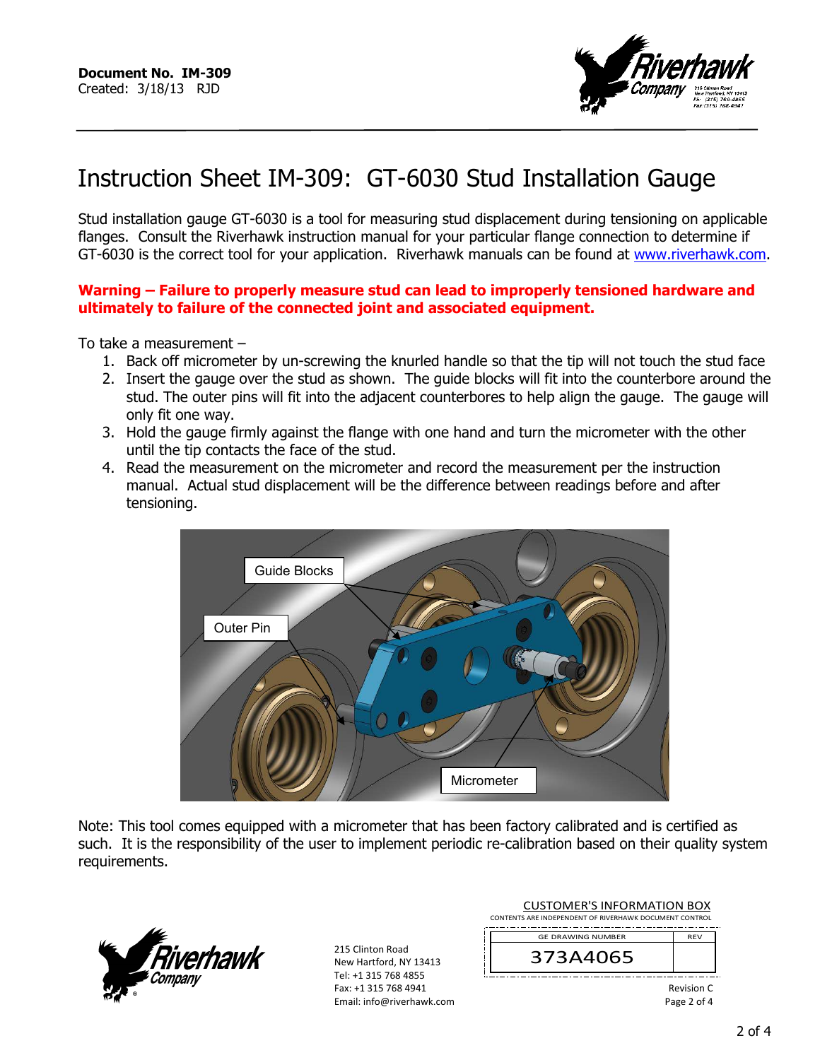

# Instruction Sheet IM-309: GT-6030 Stud Installation Gauge

Stud installation gauge GT-6030 is a tool for measuring stud displacement during tensioning on applicable flanges. Consult the Riverhawk instruction manual for your particular flange connection to determine if GT-6030 is the correct tool for your application. Riverhawk manuals can be found at www.riverhawk.com.

### **Warning – Failure to properly measure stud can lead to improperly tensioned hardware and ultimately to failure of the connected joint and associated equipment.**

To take a measurement –

- 1. Back off micrometer by un-screwing the knurled handle so that the tip will not touch the stud face
- 2. Insert the gauge over the stud as shown. The guide blocks will fit into the counterbore around the stud. The outer pins will fit into the adjacent counterbores to help align the gauge. The gauge will only fit one way.
- 3. Hold the gauge firmly against the flange with one hand and turn the micrometer with the other until the tip contacts the face of the stud.
- 4. Read the measurement on the micrometer and record the measurement per the instruction manual. Actual stud displacement will be the difference between readings before and after tensioning.



Note: This tool comes equipped with a micrometer that has been factory calibrated and is certified as such. It is the responsibility of the user to implement periodic re-calibration based on their quality system requirements.



215 Clinton Road New Hartford, NY 13413 Tel: +1 315 768 4855 Fax: +1 315 768 4941 Email: info@riverhawk.com

| <b>CUSTOMER'S INFORMATION BOX</b><br>CONTENTS ARE INDEPENDENT OF RIVERHAWK DOCUMENT CONTROL |            |  |
|---------------------------------------------------------------------------------------------|------------|--|
| <b>GF DRAWING NUMBER</b>                                                                    | <b>RFV</b> |  |
| 373A4065                                                                                    |            |  |
| Revision C<br>Page 2 of 4                                                                   |            |  |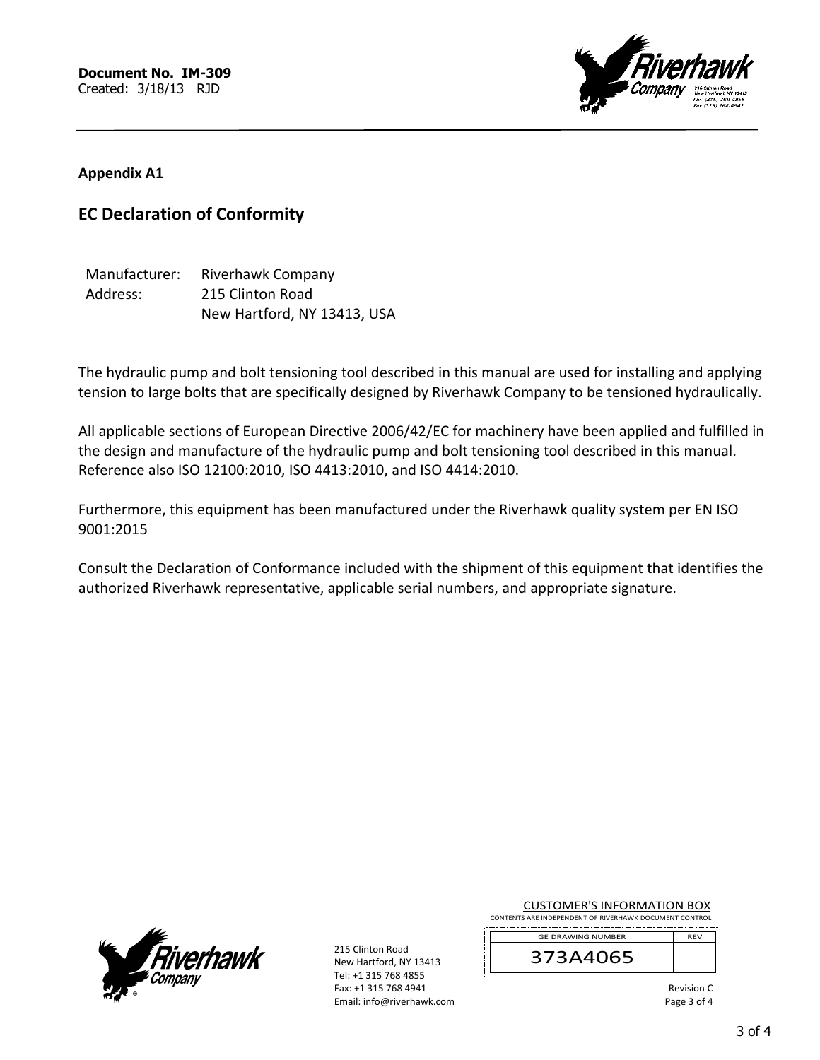

## **Appendix A1**

# **EC Declaration of Conformity**

| Manufacturer: | <b>Riverhawk Company</b>    |
|---------------|-----------------------------|
| Address:      | 215 Clinton Road            |
|               | New Hartford, NY 13413, USA |

The hydraulic pump and bolt tensioning tool described in this manual are used for installing and applying tension to large bolts that are specifically designed by Riverhawk Company to be tensioned hydraulically.

All applicable sections of European Directive 2006/42/EC for machinery have been applied and fulfilled in the design and manufacture of the hydraulic pump and bolt tensioning tool described in this manual. Reference also ISO 12100:2010, ISO 4413:2010, and ISO 4414:2010.

Furthermore, this equipment has been manufactured under the Riverhawk quality system per EN ISO 9001:2015

Consult the Declaration of Conformance included with the shipment of this equipment that identifies the authorized Riverhawk representative, applicable serial numbers, and appropriate signature.



215 Clinton Road New Hartford, NY 13413 Tel: +1 315 768 4855 Fax: +1 315 768 4941 Email: info@riverhawk.com

#### CUSTOMER'S INFORMATION BOX CONTENTS ARE INDEPENDENT OF RIVERHAWK DOCUMENT CONTROL



Revision C Page 3 of 4

REV